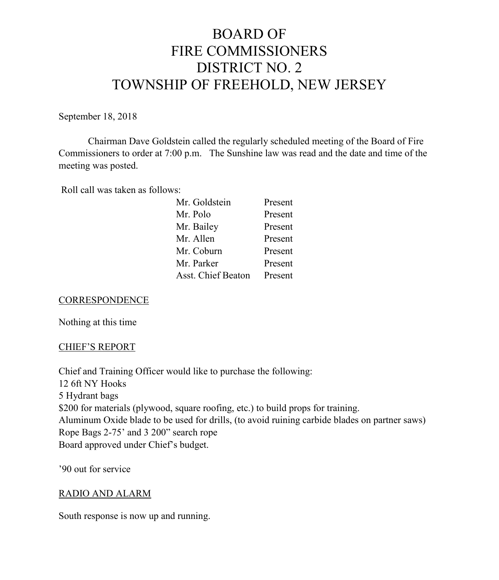# BOARD OF FIRE COMMISSIONERS DISTRICT NO. 2 TOWNSHIP OF FREEHOLD, NEW JERSEY

September 18, 2018

Chairman Dave Goldstein called the regularly scheduled meeting of the Board of Fire Commissioners to order at 7:00 p.m. The Sunshine law was read and the date and time of the meeting was posted.

Roll call was taken as follows:

| Mr. Goldstein             | Present |
|---------------------------|---------|
| Mr. Polo                  | Present |
| Mr. Bailey                | Present |
| Mr. Allen                 | Present |
| Mr. Coburn                | Present |
| Mr. Parker                | Present |
| <b>Asst. Chief Beaton</b> | Present |

#### **CORRESPONDENCE**

Nothing at this time

#### CHIEF'S REPORT

Chief and Training Officer would like to purchase the following: 12 6ft NY Hooks 5 Hydrant bags \$200 for materials (plywood, square roofing, etc.) to build props for training. Aluminum Oxide blade to be used for drills, (to avoid ruining carbide blades on partner saws) Rope Bags 2-75' and 3 200" search rope Board approved under Chief's budget.

'90 out for service

#### RADIO AND ALARM

South response is now up and running.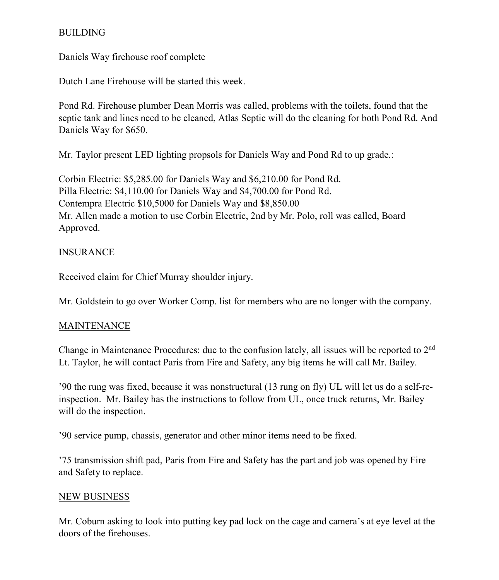## BUILDING

Daniels Way firehouse roof complete

Dutch Lane Firehouse will be started this week.

Pond Rd. Firehouse plumber Dean Morris was called, problems with the toilets, found that the septic tank and lines need to be cleaned, Atlas Septic will do the cleaning for both Pond Rd. And Daniels Way for \$650.

Mr. Taylor present LED lighting propsols for Daniels Way and Pond Rd to up grade.:

Corbin Electric: \$5,285.00 for Daniels Way and \$6,210.00 for Pond Rd. Pilla Electric: \$4,110.00 for Daniels Way and \$4,700.00 for Pond Rd. Contempra Electric \$10,5000 for Daniels Way and \$8,850.00 Mr. Allen made a motion to use Corbin Electric, 2nd by Mr. Polo, roll was called, Board Approved.

#### **INSURANCE**

Received claim for Chief Murray shoulder injury.

Mr. Goldstein to go over Worker Comp. list for members who are no longer with the company.

#### MAINTENANCE

Change in Maintenance Procedures: due to the confusion lately, all issues will be reported to 2nd Lt. Taylor, he will contact Paris from Fire and Safety, any big items he will call Mr. Bailey.

'90 the rung was fixed, because it was nonstructural (13 rung on fly) UL will let us do a self-reinspection. Mr. Bailey has the instructions to follow from UL, once truck returns, Mr. Bailey will do the inspection.

'90 service pump, chassis, generator and other minor items need to be fixed.

'75 transmission shift pad, Paris from Fire and Safety has the part and job was opened by Fire and Safety to replace.

#### NEW BUSINESS

Mr. Coburn asking to look into putting key pad lock on the cage and camera's at eye level at the doors of the firehouses.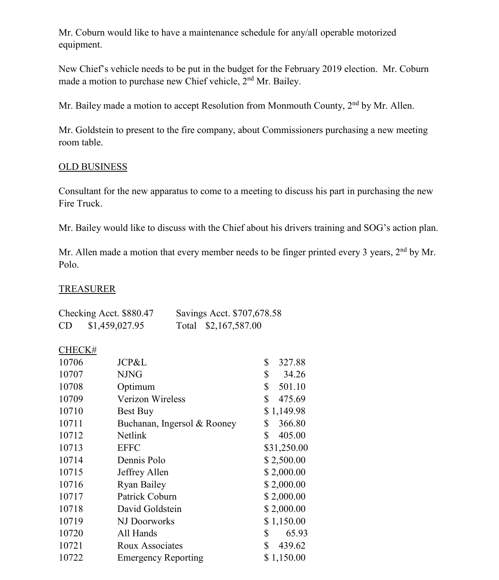Mr. Coburn would like to have a maintenance schedule for any/all operable motorized equipment.

New Chief's vehicle needs to be put in the budget for the February 2019 election. Mr. Coburn made a motion to purchase new Chief vehicle,  $2<sup>nd</sup>$  Mr. Bailey.

Mr. Bailey made a motion to accept Resolution from Monmouth County, 2<sup>nd</sup> by Mr. Allen.

Mr. Goldstein to present to the fire company, about Commissioners purchasing a new meeting room table.

## OLD BUSINESS

Consultant for the new apparatus to come to a meeting to discuss his part in purchasing the new Fire Truck.

Mr. Bailey would like to discuss with the Chief about his drivers training and SOG's action plan.

Mr. Allen made a motion that every member needs to be finger printed every 3 years, 2<sup>nd</sup> by Mr. Polo.

## TREASURER

|           | Checking Acct. \$880.47 | Savings Acct. \$707,678.58 |
|-----------|-------------------------|----------------------------|
| <b>CD</b> | \$1,459,027.95          | Total \$2,167,587.00       |

#### CHECK#

| JCP&L                       | \$<br>327.88 |
|-----------------------------|--------------|
| <b>NJNG</b>                 | \$<br>34.26  |
| Optimum                     | \$<br>501.10 |
| <b>Verizon Wireless</b>     | \$<br>475.69 |
| Best Buy                    | \$1,149.98   |
| Buchanan, Ingersol & Rooney | \$<br>366.80 |
| Netlink                     | \$<br>405.00 |
| <b>EFFC</b>                 | \$31,250.00  |
| Dennis Polo                 | \$2,500.00   |
| Jeffrey Allen               | \$2,000.00   |
| <b>Ryan Bailey</b>          | \$2,000.00   |
| Patrick Coburn              | \$2,000.00   |
| David Goldstein             | \$2,000.00   |
| NJ Doorworks                | \$1,150.00   |
| All Hands                   | \$<br>65.93  |
| <b>Roux Associates</b>      | \$<br>439.62 |
| <b>Emergency Reporting</b>  | \$1,150.00   |
|                             |              |